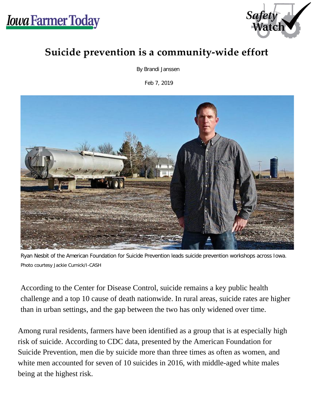



## **Suicide prevention is a community-wide effort**

By Brandi Janssen

Feb 7, 2019



Ryan Nesbit of the American Foundation for Suicide Prevention leads suicide prevention workshops across Iowa. Photo courtesy Jackie Curnick/I-CASH

According to the Center for Disease Control, suicide remains a key public health challenge and a top 10 cause of death nationwide. In rural areas, suicide rates are higher than in urban settings, and the gap between the two has only widened over time.

Among rural residents, farmers have been identified as a group that is at especially high risk of suicide. According to CDC data, presented by the American Foundation for Suicide Prevention, men die by suicide more than three times as often as women, and white men accounted for seven of 10 suicides in 2016, with middle-aged white males being at the highest risk.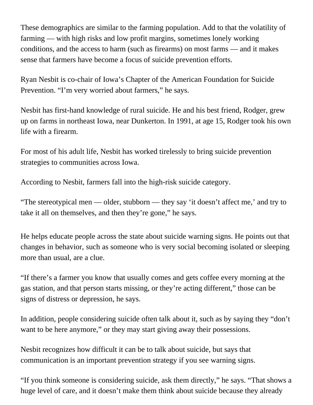These demographics are similar to the farming population. Add to that the volatility of farming — with high risks and low profit margins, sometimes lonely working conditions, and the access to harm (such as firearms) on most farms — and it makes sense that farmers have become a focus of suicide prevention efforts.

Ryan Nesbit is co-chair of Iowa's Chapter of the American Foundation for Suicide Prevention. "I'm very worried about farmers," he says.

Nesbit has first-hand knowledge of rural suicide. He and his best friend, Rodger, grew up on farms in northeast Iowa, near Dunkerton. In 1991, at age 15, Rodger took his own life with a firearm.

For most of his adult life, Nesbit has worked tirelessly to bring suicide prevention strategies to communities across Iowa.

According to Nesbit, farmers fall into the high-risk suicide category.

"The stereotypical men — older, stubborn — they say 'it doesn't affect me,' and try to take it all on themselves, and then they're gone," he says.

He helps educate people across the state about suicide warning signs. He points out that changes in behavior, such as someone who is very social becoming isolated or sleeping more than usual, are a clue.

"If there's a farmer you know that usually comes and gets coffee every morning at the gas station, and that person starts missing, or they're acting different," those can be signs of distress or depression, he says.

In addition, people considering suicide often talk about it, such as by saying they "don't want to be here anymore," or they may start giving away their possessions.

Nesbit recognizes how difficult it can be to talk about suicide, but says that communication is an important prevention strategy if you see warning signs.

"If you think someone is considering suicide, ask them directly," he says. "That shows a huge level of care, and it doesn't make them think about suicide because they already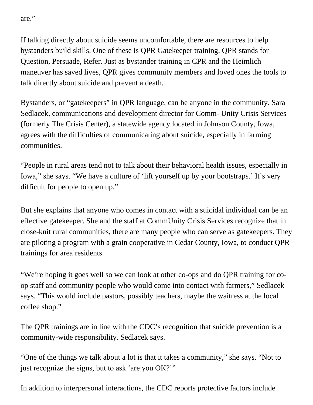are."

If talking directly about suicide seems uncomfortable, there are resources to help bystanders build skills. One of these is QPR Gatekeeper training. QPR stands for Question, Persuade, Refer. Just as bystander training in CPR and the Heimlich maneuver has saved lives, QPR gives community members and loved ones the tools to talk directly about suicide and prevent a death.

Bystanders, or "gatekeepers" in QPR language, can be anyone in the community. Sara Sedlacek, communications and development director for Comm- Unity Crisis Services (formerly The Crisis Center), a statewide agency located in Johnson County, Iowa, agrees with the difficulties of communicating about suicide, especially in farming communities.

"People in rural areas tend not to talk about their behavioral health issues, especially in Iowa," she says. "We have a culture of 'lift yourself up by your bootstraps.' It's very difficult for people to open up."

But she explains that anyone who comes in contact with a suicidal individual can be an effective gatekeeper. She and the staff at CommUnity Crisis Services recognize that in close-knit rural communities, there are many people who can serve as gatekeepers. They are piloting a program with a grain cooperative in Cedar County, Iowa, to conduct QPR trainings for area residents.

"We're hoping it goes well so we can look at other co-ops and do QPR training for coop staff and community people who would come into contact with farmers," Sedlacek says. "This would include pastors, possibly teachers, maybe the waitress at the local coffee shop."

The QPR trainings are in line with the CDC's recognition that suicide prevention is a community-wide responsibility. Sedlacek says.

"One of the things we talk about a lot is that it takes a community," she says. "Not to just recognize the signs, but to ask 'are you OK?'"

In addition to interpersonal interactions, the CDC reports protective factors include